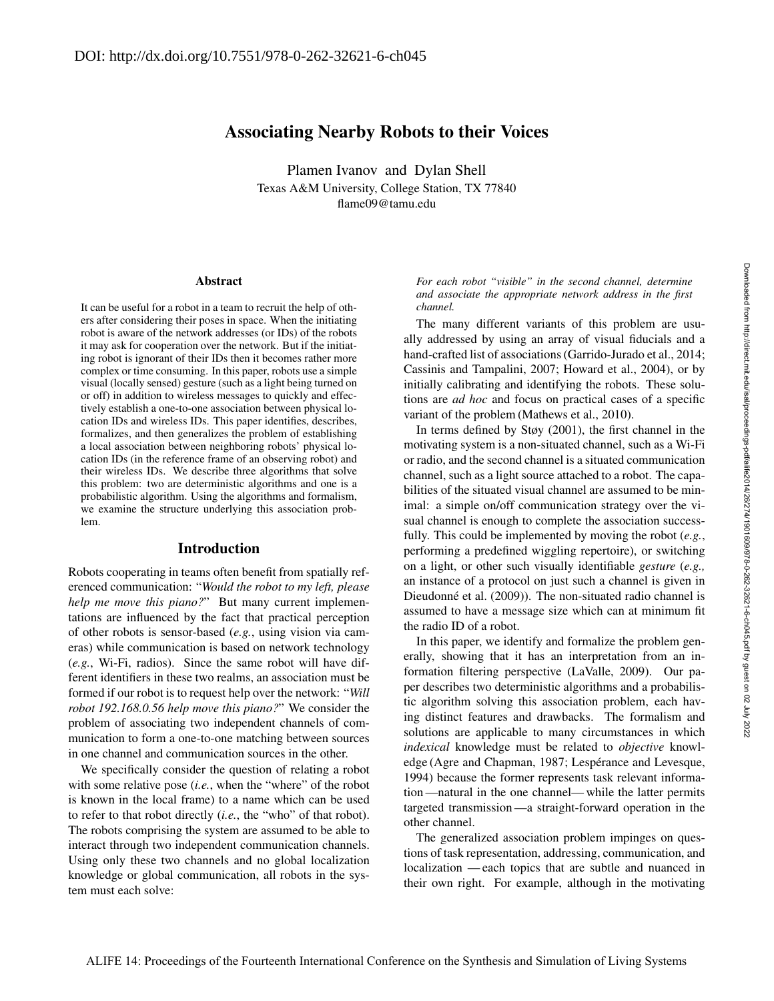# Associating Nearby Robots to their Voices

Plamen Ivanov and Dylan Shell Texas A&M University, College Station, TX 77840 flame09@tamu.edu

#### **Abstract**

It can be useful for a robot in a team to recruit the help of others after considering their poses in space. When the initiating robot is aware of the network addresses (or IDs) of the robots it may ask for cooperation over the network. But if the initiating robot is ignorant of their IDs then it becomes rather more complex or time consuming. In this paper, robots use a simple visual (locally sensed) gesture (such as a light being turned on or off) in addition to wireless messages to quickly and effectively establish a one-to-one association between physical location IDs and wireless IDs. This paper identifies, describes, formalizes, and then generalizes the problem of establishing a local association between neighboring robots' physical location IDs (in the reference frame of an observing robot) and their wireless IDs. We describe three algorithms that solve this problem: two are deterministic algorithms and one is a probabilistic algorithm. Using the algorithms and formalism, we examine the structure underlying this association problem.

## Introduction

Robots cooperating in teams often benefit from spatially referenced communication: "*Would the robot to my left, please help me move this piano?*" But many current implementations are influenced by the fact that practical perception of other robots is sensor-based (*e.g.*, using vision via cameras) while communication is based on network technology (*e.g.*, Wi-Fi, radios). Since the same robot will have different identifiers in these two realms, an association must be formed if our robot is to request help over the network: "*Will robot 192.168.0.56 help move this piano?*" We consider the problem of associating two independent channels of communication to form a one-to-one matching between sources in one channel and communication sources in the other.

We specifically consider the question of relating a robot with some relative pose (*i.e.*, when the "where" of the robot is known in the local frame) to a name which can be used to refer to that robot directly (*i.e.*, the "who" of that robot). The robots comprising the system are assumed to be able to interact through two independent communication channels. Using only these two channels and no global localization knowledge or global communication, all robots in the system must each solve:

*For each robot "visible" in the second channel, determine and associate the appropriate network address in the first channel.*

The many different variants of this problem are usually addressed by using an array of visual fiducials and a hand-crafted list of associations (Garrido-Jurado et al., 2014; Cassinis and Tampalini, 2007; Howard et al., 2004), or by initially calibrating and identifying the robots. These solutions are *ad hoc* and focus on practical cases of a specific variant of the problem (Mathews et al., 2010).

In terms defined by Støy (2001), the first channel in the motivating system is a non-situated channel, such as a Wi-Fi or radio, and the second channel is a situated communication channel, such as a light source attached to a robot. The capabilities of the situated visual channel are assumed to be minimal: a simple on/off communication strategy over the visual channel is enough to complete the association successfully. This could be implemented by moving the robot (*e.g.*, performing a predefined wiggling repertoire), or switching on a light, or other such visually identifiable *gesture* (*e.g.,* an instance of a protocol on just such a channel is given in Dieudonné et al. (2009)). The non-situated radio channel is assumed to have a message size which can at minimum fit the radio ID of a robot.

In this paper, we identify and formalize the problem generally, showing that it has an interpretation from an information filtering perspective (LaValle, 2009). Our paper describes two deterministic algorithms and a probabilistic algorithm solving this association problem, each having distinct features and drawbacks. The formalism and solutions are applicable to many circumstances in which *indexical* knowledge must be related to *objective* knowledge (Agre and Chapman, 1987; Lespérance and Levesque, 1994) because the former represents task relevant information —natural in the one channel— while the latter permits targeted transmission —a straight-forward operation in the other channel.

The generalized association problem impinges on questions of task representation, addressing, communication, and localization — each topics that are subtle and nuanced in their own right. For example, although in the motivating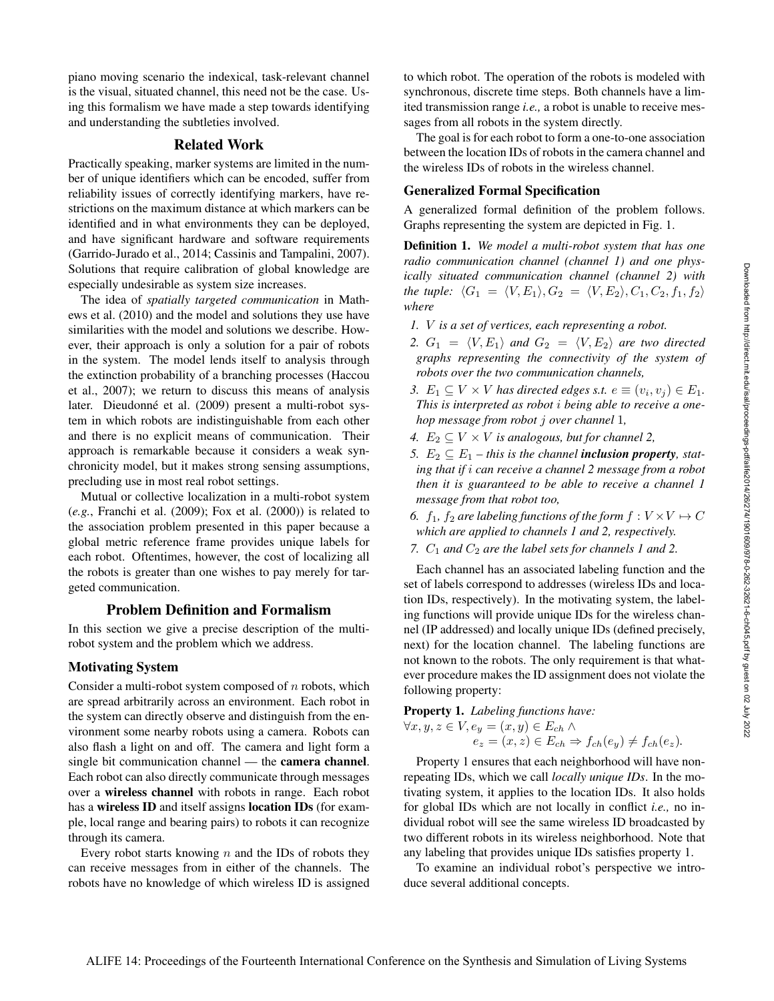piano moving scenario the indexical, task-relevant channel is the visual, situated channel, this need not be the case. Using this formalism we have made a step towards identifying and understanding the subtleties involved.

# Related Work

Practically speaking, marker systems are limited in the number of unique identifiers which can be encoded, suffer from reliability issues of correctly identifying markers, have restrictions on the maximum distance at which markers can be identified and in what environments they can be deployed, and have significant hardware and software requirements (Garrido-Jurado et al., 2014; Cassinis and Tampalini, 2007). Solutions that require calibration of global knowledge are especially undesirable as system size increases.

The idea of *spatially targeted communication* in Mathews et al. (2010) and the model and solutions they use have similarities with the model and solutions we describe. However, their approach is only a solution for a pair of robots in the system. The model lends itself to analysis through the extinction probability of a branching processes (Haccou et al., 2007); we return to discuss this means of analysis later. Dieudonné et al. (2009) present a multi-robot system in which robots are indistinguishable from each other and there is no explicit means of communication. Their approach is remarkable because it considers a weak synchronicity model, but it makes strong sensing assumptions, precluding use in most real robot settings.

Mutual or collective localization in a multi-robot system (*e.g.*, Franchi et al. (2009); Fox et al. (2000)) is related to the association problem presented in this paper because a global metric reference frame provides unique labels for each robot. Oftentimes, however, the cost of localizing all the robots is greater than one wishes to pay merely for targeted communication.

#### Problem Definition and Formalism

In this section we give a precise description of the multirobot system and the problem which we address.

#### Motivating System

Consider a multi-robot system composed of  $n$  robots, which are spread arbitrarily across an environment. Each robot in the system can directly observe and distinguish from the environment some nearby robots using a camera. Robots can also flash a light on and off. The camera and light form a single bit communication channel — the camera channel. Each robot can also directly communicate through messages over a wireless channel with robots in range. Each robot has a wireless **ID** and itself assigns **location IDs** (for example, local range and bearing pairs) to robots it can recognize through its camera.

Every robot starts knowing  $n$  and the IDs of robots they can receive messages from in either of the channels. The robots have no knowledge of which wireless ID is assigned

to which robot. The operation of the robots is modeled with synchronous, discrete time steps. Both channels have a limited transmission range *i.e.,* a robot is unable to receive messages from all robots in the system directly.

The goal is for each robot to form a one-to-one association between the location IDs of robots in the camera channel and the wireless IDs of robots in the wireless channel.

#### Generalized Formal Specification

A generalized formal definition of the problem follows. Graphs representing the system are depicted in Fig. 1.

Definition 1. *We model a multi-robot system that has one radio communication channel (channel 1) and one physically situated communication channel (channel 2) with the tuple:*  $\langle G_1 = \langle V, E_1 \rangle, G_2 = \langle V, E_2 \rangle, C_1, C_2, f_1, f_2 \rangle$ *where*

- *1.* V *is a set of vertices, each representing a robot.*
- 2.  $G_1 = \langle V, E_1 \rangle$  *and*  $G_2 = \langle V, E_2 \rangle$  *are two directed graphs representing the connectivity of the system of robots over the two communication channels,*
- 3.  $E_1 \subseteq V \times V$  has directed edges s.t.  $e \equiv (v_i, v_j) \in E_1$ . *This is interpreted as robot* i *being able to receive a onehop message from robot* j *over channel* 1*,*
- *4.*  $E_2 \subseteq V \times V$  *is analogous, but for channel 2,*
- 5.  $E_2 \subseteq E_1$  this is the channel **inclusion property**, stat*ing that if* i *can receive a channel 2 message from a robot then it is guaranteed to be able to receive a channel 1 message from that robot too,*
- *6.*  $f_1$ ,  $f_2$  *are labeling functions of the form*  $f: V \times V \mapsto C$ *which are applied to channels 1 and 2, respectively.*
- 7.  $C_1$  *and*  $C_2$  *are the label sets for channels 1 and 2.*

Each channel has an associated labeling function and the set of labels correspond to addresses (wireless IDs and location IDs, respectively). In the motivating system, the labeling functions will provide unique IDs for the wireless channel (IP addressed) and locally unique IDs (defined precisely, next) for the location channel. The labeling functions are not known to the robots. The only requirement is that whatever procedure makes the ID assignment does not violate the following property:

#### Property 1. *Labeling functions have:*

$$
\forall x, y, z \in V, e_y = (x, y) \in E_{ch} \land
$$
  

$$
e_z = (x, z) \in E_{ch} \Rightarrow f_{ch}(e_y) \neq f_{ch}(e_z).
$$

Property 1 ensures that each neighborhood will have nonrepeating IDs, which we call *locally unique IDs*. In the motivating system, it applies to the location IDs. It also holds for global IDs which are not locally in conflict *i.e.,* no individual robot will see the same wireless ID broadcasted by two different robots in its wireless neighborhood. Note that any labeling that provides unique IDs satisfies property 1.

To examine an individual robot's perspective we introduce several additional concepts.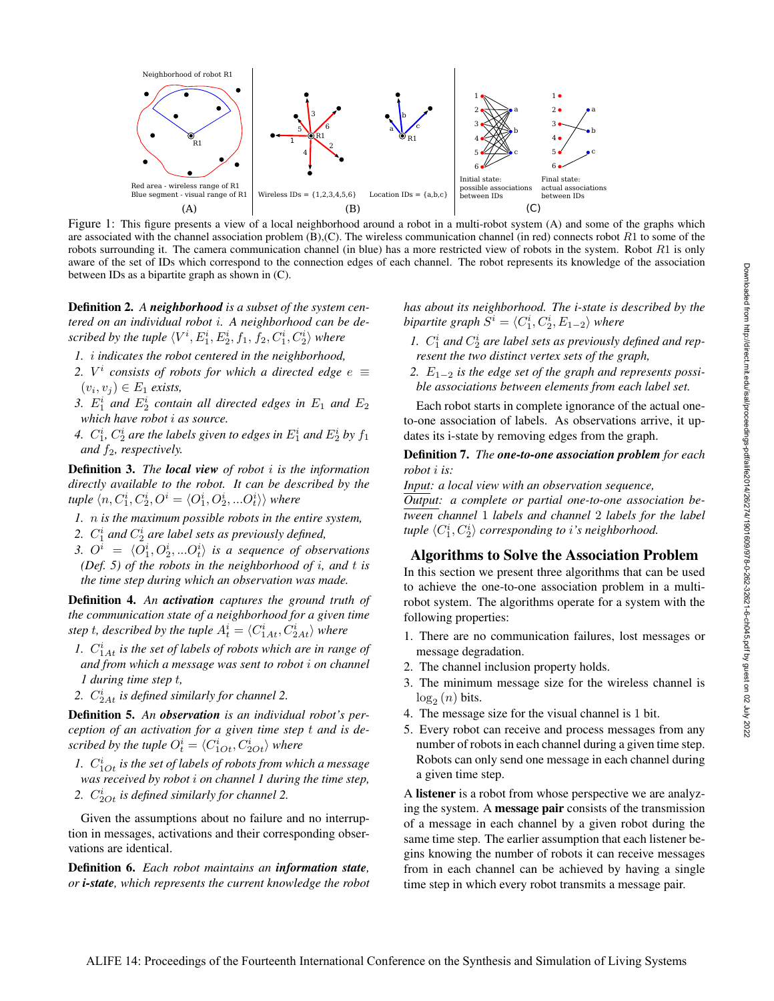

Figure 1: This figure presents a view of a local neighborhood around a robot in a multi-robot system (A) and some of the graphs which are associated with the channel association problem  $(B)$ ,(C). The wireless communication channel (in red) connects robot  $R_1$  to some of the robots surrounding it. The camera communication channel (in blue) has a more restricted view of robots in the system. Robot  $R1$  is only aware of the set of IDs which correspond to the connection edges of each channel. The robot represents its knowledge of the association between IDs as a bipartite graph as shown in (C).

Definition 2. *A neighborhood is a subset of the system centered on an individual robot* i*. A neighborhood can be de*scribed by the tuple  $\langle V^i, E^i_1, E^i_2, f_1, f_2, C^i_1, C^i_2 \rangle$  where

- *1.* i *indicates the robot centered in the neighborhood,*
- 2.  $V^i$  consists of robots for which a directed edge  $e \equiv$  $(v_i, v_j) \in E_1$  *exists,*
- 3.  $E_1^i$  and  $E_2^i$  contain all directed edges in  $E_1$  and  $E_2$ *which have robot* i *as source.*
- 4.  $C_1^i$ ,  $C_2^i$  are the labels given to edges in  $E_1^i$  and  $E_2^i$  by  $f_1$ *and*  $f_2$ *, respectively.*

Definition 3. *The local view of robot* i *is the information directly available to the robot. It can be described by the* tuple  $\langle n, C^i_1, C^i_2, O^i = \langle O^i_1, O^i_2, ... O^i_t \rangle \rangle$  where

- *1.* n *is the maximum possible robots in the entire system,*
- 2.  $C_1^i$  and  $C_2^i$  are label sets as previously defined,
- 3.  $O^i = \langle O_1^i, O_2^i, ... O_t^i \rangle$  is a sequence of observations *(Def. 5) of the robots in the neighborhood of* i*, and* t *is the time step during which an observation was made.*

Definition 4. *An activation captures the ground truth of the communication state of a neighborhood for a given time* step t, described by the tuple  $A_t^i = \langle C_{1At}^i, C_{2At}^i \rangle$  where

- 1.  $C_{1At}^{i}$  *is the set of labels of robots which are in range of and from which a message was sent to robot* i *on channel 1 during time step* t*,*
- 2.  $C_{2At}^{i}$  *is defined similarly for channel* 2.

Definition 5. *An observation is an individual robot's perception of an activation for a given time step* t *and is de*scribed by the tuple  $O_t^i = \langle C_{1Ot}^i, C_{2Ot}^i \rangle$  where

- 1.  $C_{1Ot}^i$  is the set of labels of robots from which a message *was received by robot* i *on channel 1 during the time step,*
- 2.  $C_{2Ot}^{i}$  is defined similarly for channel 2.

Given the assumptions about no failure and no interruption in messages, activations and their corresponding observations are identical.

Definition 6. *Each robot maintains an information state, or i-state, which represents the current knowledge the robot* *has about its neighborhood. The i-state is described by the* bipartite graph  $S^i = \langle C_1^i, C_2^i, E_{1-2} \rangle$  where

- 1.  $C_1^i$  and  $C_2^i$  are label sets as previously defined and rep*resent the two distinct vertex sets of the graph,*
- 2.  $E_{1-2}$  *is the edge set of the graph and represents possible associations between elements from each label set.*

Each robot starts in complete ignorance of the actual oneto-one association of labels. As observations arrive, it updates its i-state by removing edges from the graph.

### Definition 7. *The one-to-one association problem for each robot* i *is:*

*Input: a local view with an observation sequence, Output: a complete or partial one-to-one association between channel* 1 *labels and channel* 2 *labels for the label* tuple  $\langle C_1^i, C_2^i \rangle$  corresponding to *i's neighborhood.* 

### Algorithms to Solve the Association Problem

In this section we present three algorithms that can be used to achieve the one-to-one association problem in a multirobot system. The algorithms operate for a system with the following properties:

- 1. There are no communication failures, lost messages or message degradation.
- 2. The channel inclusion property holds.
- 3. The minimum message size for the wireless channel is  $log_2(n)$  bits.
- 4. The message size for the visual channel is 1 bit.
- 5. Every robot can receive and process messages from any number of robots in each channel during a given time step. Robots can only send one message in each channel during a given time step.

A listener is a robot from whose perspective we are analyzing the system. A message pair consists of the transmission of a message in each channel by a given robot during the same time step. The earlier assumption that each listener begins knowing the number of robots it can receive messages from in each channel can be achieved by having a single time step in which every robot transmits a message pair.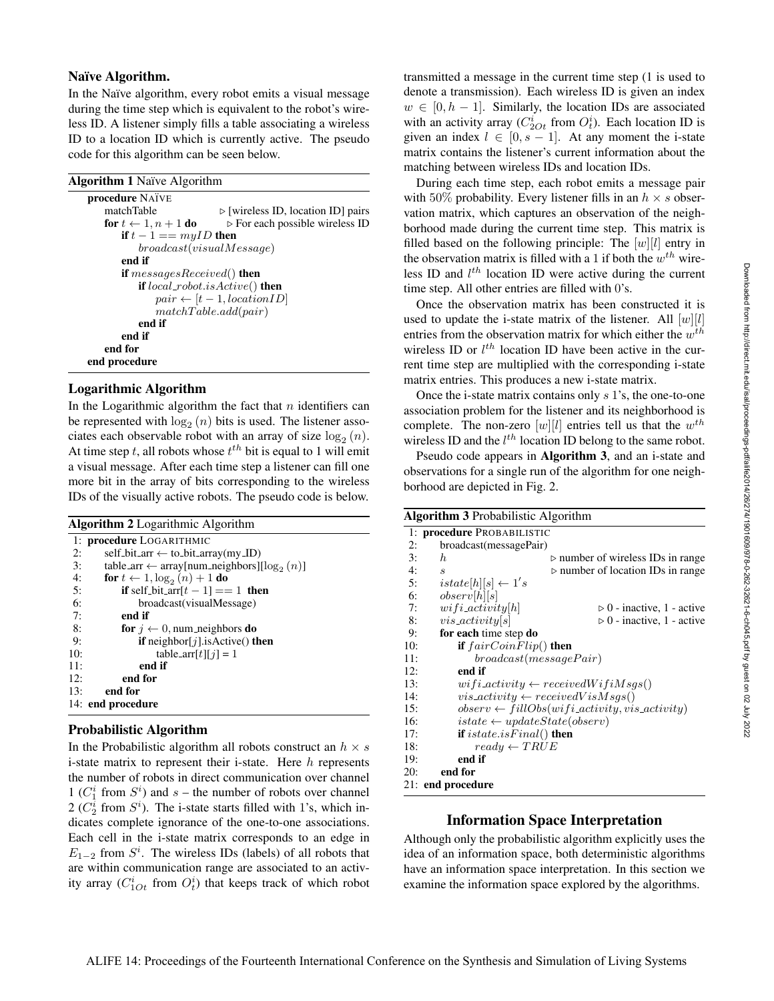### Naïve Algorithm.

In the Naïve algorithm, every robot emits a visual message during the time step which is equivalent to the robot's wireless ID. A listener simply fills a table associating a wireless ID to a location ID which is currently active. The pseudo code for this algorithm can be seen below.

| <b>Algorithm 1</b> Naïve Algorithm                                                                                                                                                                                                                                                        |                                                                                                                                                                    |  |
|-------------------------------------------------------------------------------------------------------------------------------------------------------------------------------------------------------------------------------------------------------------------------------------------|--------------------------------------------------------------------------------------------------------------------------------------------------------------------|--|
| <b>procedure NATVE</b><br>matchTable<br>for $t \leftarrow 1, n + 1$ do<br>if $t-1 == m \nu ID$ then<br>broadcast(visualMessage)<br>end if<br><b>if</b> messages Received() <b>then</b><br><b>if</b> $local\_robot.isActive()$ <b>then</b><br>end if<br>end if<br>end for<br>end procedure | $\triangleright$ [wireless ID, location ID] pairs<br>$\triangleright$ For each possible wireless ID<br>$pair \leftarrow [t-1, locationID]$<br>matchTable.add(pair) |  |
|                                                                                                                                                                                                                                                                                           |                                                                                                                                                                    |  |

### Logarithmic Algorithm

In the Logarithmic algorithm the fact that  $n$  identifiers can be represented with  $\log_2(n)$  bits is used. The listener associates each observable robot with an array of size  $log_2(n)$ . At time step t, all robots whose  $t^{th}$  bit is equal to 1 will emit a visual message. After each time step a listener can fill one more bit in the array of bits corresponding to the wireless IDs of the visually active robots. The pseudo code is below.

Algorithm 2 Logarithmic Algorithm

|     | 1: procedure LOGARITHMIC                                  |
|-----|-----------------------------------------------------------|
| 2:  | self_bit_arr $\leftarrow$ to_bit_array(my_ID)             |
| 3:  | table_arr $\leftarrow$ array[num_neighbors][ $log_2(n)$ ] |
| 4:  | for $t \leftarrow 1$ , $\log_2(n) + 1$ do                 |
| 5:  | <b>if</b> self_bit_arr[ $t-1$ ] = 1 <b>then</b>           |
| 6:  | broadcast(visualMessage)                                  |
| 7:  | end if                                                    |
| 8:  | <b>for</b> $i \leftarrow 0$ , num_neighbors <b>do</b>     |
| 9:  | if neighbor[ $j$ ].isActive() then                        |
| 10: | table_arr[t][j] = 1                                       |
| 11: | end if                                                    |
| 12: | end for                                                   |
| 13: | end for                                                   |
|     | 14: end procedure                                         |

#### Probabilistic Algorithm

In the Probabilistic algorithm all robots construct an  $h \times s$ i-state matrix to represent their i-state. Here  $h$  represents the number of robots in direct communication over channel 1 ( $C_1^i$  from  $S^i$ ) and  $s$  – the number of robots over channel  $2(C_2^i$  from  $S^i$ ). The i-state starts filled with 1's, which indicates complete ignorance of the one-to-one associations. Each cell in the i-state matrix corresponds to an edge in  $E_{1-2}$  from  $S^i$ . The wireless IDs (labels) of all robots that are within communication range are associated to an activity array  $(C_{1Ot}^i$  from  $O_t^i)$  that keeps track of which robot

transmitted a message in the current time step (1 is used to denote a transmission). Each wireless ID is given an index  $w \in [0, h - 1]$ . Similarly, the location IDs are associated with an activity array  $(C_{2Ot}^i \text{ from } O_t^i)$ . Each location ID is given an index  $l \in [0, s-1]$ . At any moment the i-state matrix contains the listener's current information about the matching between wireless IDs and location IDs.

During each time step, each robot emits a message pair with 50% probability. Every listener fills in an  $h \times s$  observation matrix, which captures an observation of the neighborhood made during the current time step. This matrix is filled based on the following principle: The  $[w][l]$  entry in the observation matrix is filled with a 1 if both the  $w^{th}$  wireless ID and  $l^{th}$  location ID were active during the current time step. All other entries are filled with 0's.

Once the observation matrix has been constructed it is used to update the i-state matrix of the listener. All  $[w][l]$ entries from the observation matrix for which either the  $w^{th}$ wireless ID or  $l^{th}$  location ID have been active in the current time step are multiplied with the corresponding i-state matrix entries. This produces a new i-state matrix.

Once the i-state matrix contains only s 1's, the one-to-one association problem for the listener and its neighborhood is complete. The non-zero  $[w][l]$  entries tell us that the  $w^{th}$ wireless ID and the  $l^{th}$  location ID belong to the same robot.

Pseudo code appears in Algorithm 3, and an i-state and observations for a single run of the algorithm for one neighborhood are depicted in Fig. 2.

| <b>Algorithm 3</b> Probabilistic Algorithm |                                         |                                                            |
|--------------------------------------------|-----------------------------------------|------------------------------------------------------------|
|                                            | 1: procedure PROBABILISTIC              |                                                            |
| 2:                                         | broadcast(messagePair)                  |                                                            |
| 3:                                         | $\boldsymbol{h}$                        | $\triangleright$ number of wireless IDs in range           |
| 4:                                         | $\mathcal{S}_{0}$                       | $\triangleright$ number of location IDs in range           |
| 5:                                         | $istate[h][s] \leftarrow 1's$           |                                                            |
| 6:                                         | $\omega bserv[h][s]$                    |                                                            |
| 7:                                         | $wifi\_activity h $                     | $\triangleright$ 0 - inactive, 1 - active                  |
| 8:                                         | $vis\_activity[s]$                      | $\triangleright$ 0 - inactive, 1 - active                  |
| 9:                                         | for each time step do                   |                                                            |
| 10:                                        | if $fairCoinFlip()$ then                |                                                            |
| 11:                                        | broadcast(messagePair)                  |                                                            |
| 12:                                        | end if                                  |                                                            |
| 13:                                        |                                         | $wifi\_activity \leftarrow receivedWifiMsgs()$             |
| 14:                                        |                                         | $vis\_activity \leftarrow receivedVisMsgs()$               |
| 15:                                        |                                         | $observ \leftarrow fillObs(wifi\_activity, vis\_activity)$ |
| 16:                                        | $istate \leftarrow updateState(observ)$ |                                                            |
| 17:                                        | if $istate.isFinal()$ then              |                                                            |
| 18:                                        | $ready \leftarrow TRUE$                 |                                                            |
| 19:                                        | end if                                  |                                                            |
| 20:                                        | end for                                 |                                                            |
|                                            | 21: end procedure                       |                                                            |

#### Information Space Interpretation

Although only the probabilistic algorithm explicitly uses the idea of an information space, both deterministic algorithms have an information space interpretation. In this section we examine the information space explored by the algorithms.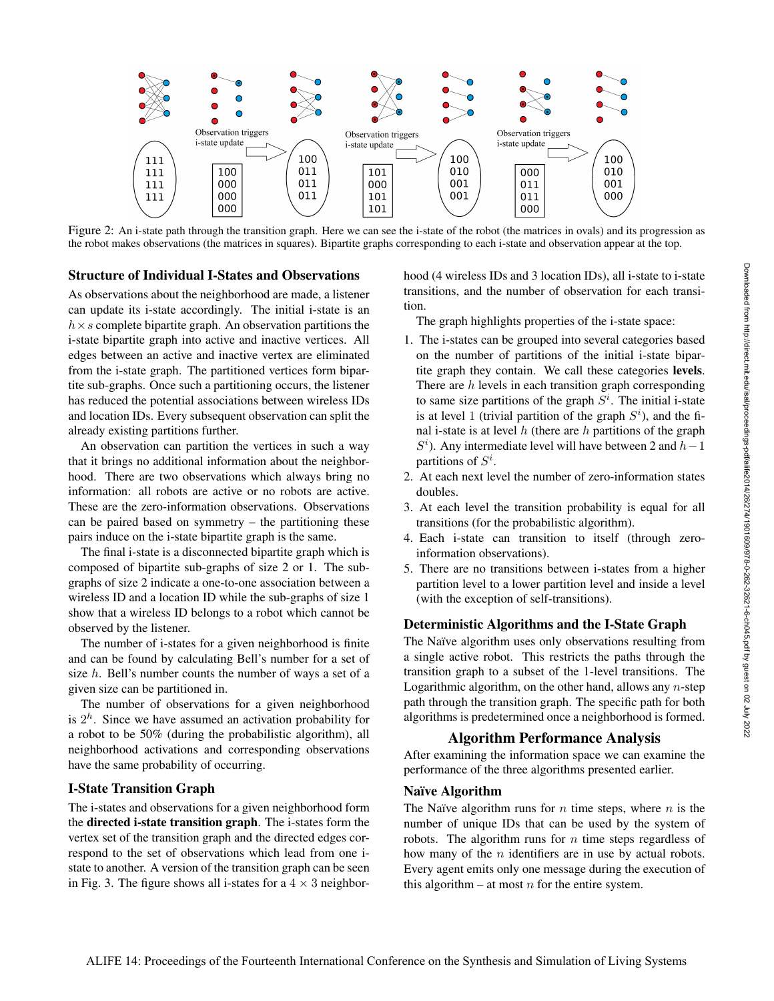

Figure 2: An i-state path through the transition graph. Here we can see the i-state of the robot (the matrices in ovals) and its progression as the robot makes observations (the matrices in squares). Bipartite graphs corresponding to each i-state and observation appear at the top.

#### Structure of Individual I-States and Observations

As observations about the neighborhood are made, a listener can update its i-state accordingly. The initial i-state is an  $h \times s$  complete bipartite graph. An observation partitions the i-state bipartite graph into active and inactive vertices. All edges between an active and inactive vertex are eliminated from the i-state graph. The partitioned vertices form bipartite sub-graphs. Once such a partitioning occurs, the listener has reduced the potential associations between wireless IDs and location IDs. Every subsequent observation can split the already existing partitions further.

An observation can partition the vertices in such a way that it brings no additional information about the neighborhood. There are two observations which always bring no information: all robots are active or no robots are active. These are the zero-information observations. Observations can be paired based on symmetry – the partitioning these pairs induce on the i-state bipartite graph is the same.

The final i-state is a disconnected bipartite graph which is composed of bipartite sub-graphs of size 2 or 1. The subgraphs of size 2 indicate a one-to-one association between a wireless ID and a location ID while the sub-graphs of size 1 show that a wireless ID belongs to a robot which cannot be observed by the listener.

The number of i-states for a given neighborhood is finite and can be found by calculating Bell's number for a set of size h. Bell's number counts the number of ways a set of a given size can be partitioned in.

The number of observations for a given neighborhood is  $2<sup>h</sup>$ . Since we have assumed an activation probability for a robot to be 50% (during the probabilistic algorithm), all neighborhood activations and corresponding observations have the same probability of occurring.

### I-State Transition Graph

The i-states and observations for a given neighborhood form the directed i-state transition graph. The i-states form the vertex set of the transition graph and the directed edges correspond to the set of observations which lead from one istate to another. A version of the transition graph can be seen in Fig. 3. The figure shows all i-states for a  $4 \times 3$  neighborhood (4 wireless IDs and 3 location IDs), all i-state to i-state transitions, and the number of observation for each transition.

The graph highlights properties of the i-state space:

- 1. The i-states can be grouped into several categories based on the number of partitions of the initial i-state bipartite graph they contain. We call these categories levels. There are h levels in each transition graph corresponding to same size partitions of the graph  $S<sup>i</sup>$ . The initial i-state is at level 1 (trivial partition of the graph  $S<sup>i</sup>$ ), and the final i-state is at level  $h$  (there are  $h$  partitions of the graph  $S<sup>i</sup>$ ). Any intermediate level will have between 2 and  $h-1$ partitions of  $S^i$ .
- 2. At each next level the number of zero-information states doubles.
- 3. At each level the transition probability is equal for all transitions (for the probabilistic algorithm).
- 4. Each i-state can transition to itself (through zeroinformation observations).
- 5. There are no transitions between i-states from a higher partition level to a lower partition level and inside a level (with the exception of self-transitions).

### Deterministic Algorithms and the I-State Graph

The Naïve algorithm uses only observations resulting from a single active robot. This restricts the paths through the transition graph to a subset of the 1-level transitions. The Logarithmic algorithm, on the other hand, allows any  $n$ -step path through the transition graph. The specific path for both algorithms is predetermined once a neighborhood is formed.

#### Algorithm Performance Analysis

After examining the information space we can examine the performance of the three algorithms presented earlier.

### Naïve Algorithm

The Naïve algorithm runs for  $n$  time steps, where  $n$  is the number of unique IDs that can be used by the system of robots. The algorithm runs for  $n$  time steps regardless of how many of the *n* identifiers are in use by actual robots. Every agent emits only one message during the execution of this algorithm – at most  $n$  for the entire system.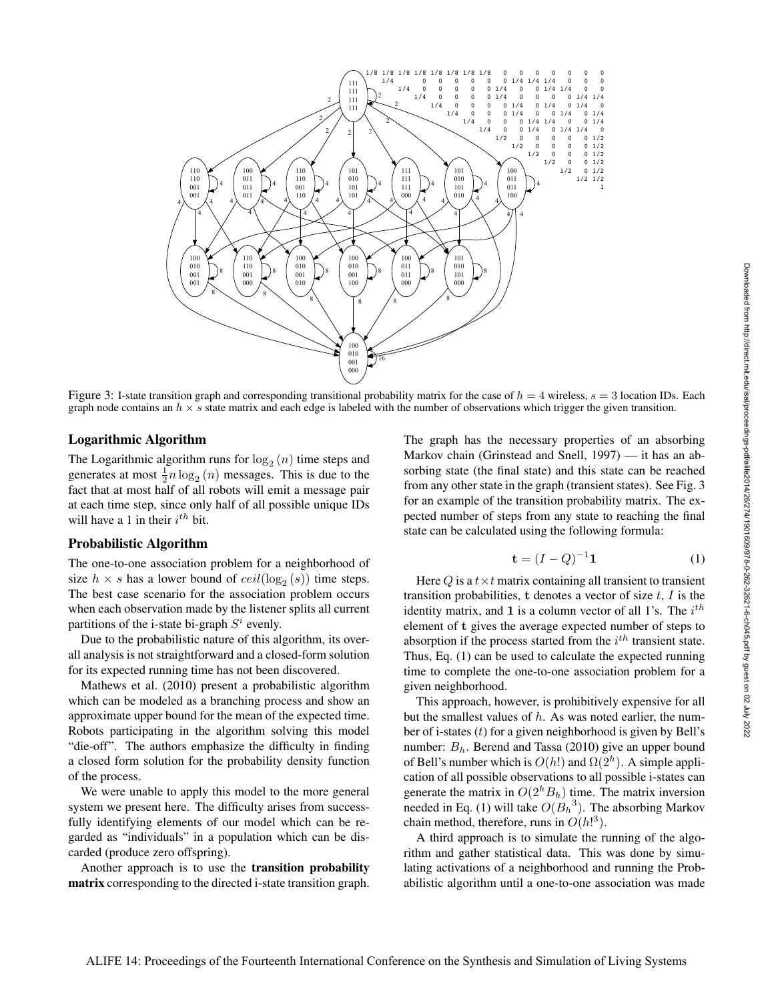

Figure 3: I-state transition graph and corresponding transitional probability matrix for the case of  $h = 4$  wireless,  $s = 3$  location IDs. Each graph node contains an  $h \times s$  state matrix and each edge is labeled with the number of observations which trigger the given transition.

#### Logarithmic Algorithm

The Logarithmic algorithm runs for  $log_2(n)$  time steps and generates at most  $\frac{1}{2}n \log_2(n)$  messages. This is due to the fact that at most half of all robots will emit a message pair at each time step, since only half of all possible unique IDs will have a 1 in their  $i^{th}$  bit.

#### Probabilistic Algorithm

The one-to-one association problem for a neighborhood of size  $h \times s$  has a lower bound of  $ceil(\log_2(s))$  time steps. The best case scenario for the association problem occurs when each observation made by the listener splits all current partitions of the i-state bi-graph  $S<sup>i</sup>$  evenly.

Due to the probabilistic nature of this algorithm, its overall analysis is not straightforward and a closed-form solution for its expected running time has not been discovered.

Mathews et al. (2010) present a probabilistic algorithm which can be modeled as a branching process and show an approximate upper bound for the mean of the expected time. Robots participating in the algorithm solving this model "die-off". The authors emphasize the difficulty in finding a closed form solution for the probability density function of the process.

We were unable to apply this model to the more general system we present here. The difficulty arises from successfully identifying elements of our model which can be regarded as "individuals" in a population which can be discarded (produce zero offspring).

Another approach is to use the transition probability matrix corresponding to the directed i-state transition graph. The graph has the necessary properties of an absorbing Markov chain (Grinstead and Snell, 1997) — it has an absorbing state (the final state) and this state can be reached from any other state in the graph (transient states). See Fig. 3 for an example of the transition probability matrix. The expected number of steps from any state to reaching the final state can be calculated using the following formula:

$$
\mathbf{t} = (I - Q)^{-1} \mathbf{1} \tag{1}
$$

Here Q is a  $t \times t$  matrix containing all transient to transient transition probabilities,  $t$  denotes a vector of size  $t$ ,  $I$  is the identity matrix, and 1 is a column vector of all 1's. The  $i<sup>th</sup>$ element of t gives the average expected number of steps to absorption if the process started from the  $i^{th}$  transient state. Thus, Eq. (1) can be used to calculate the expected running time to complete the one-to-one association problem for a given neighborhood.

This approach, however, is prohibitively expensive for all but the smallest values of  $h$ . As was noted earlier, the number of i-states  $(t)$  for a given neighborhood is given by Bell's number:  $B_h$ . Berend and Tassa (2010) give an upper bound of Bell's number which is  $O(h!)$  and  $\Omega(2^h)$ . A simple application of all possible observations to all possible i-states can generate the matrix in  $O(2<sup>h</sup>B<sub>h</sub>)$  time. The matrix inversion needed in Eq. (1) will take  $O(B_h^3)$ . The absorbing Markov chain method, therefore, runs in  $O(h!^3)$ .

A third approach is to simulate the running of the algorithm and gather statistical data. This was done by simulating activations of a neighborhood and running the Probabilistic algorithm until a one-to-one association was made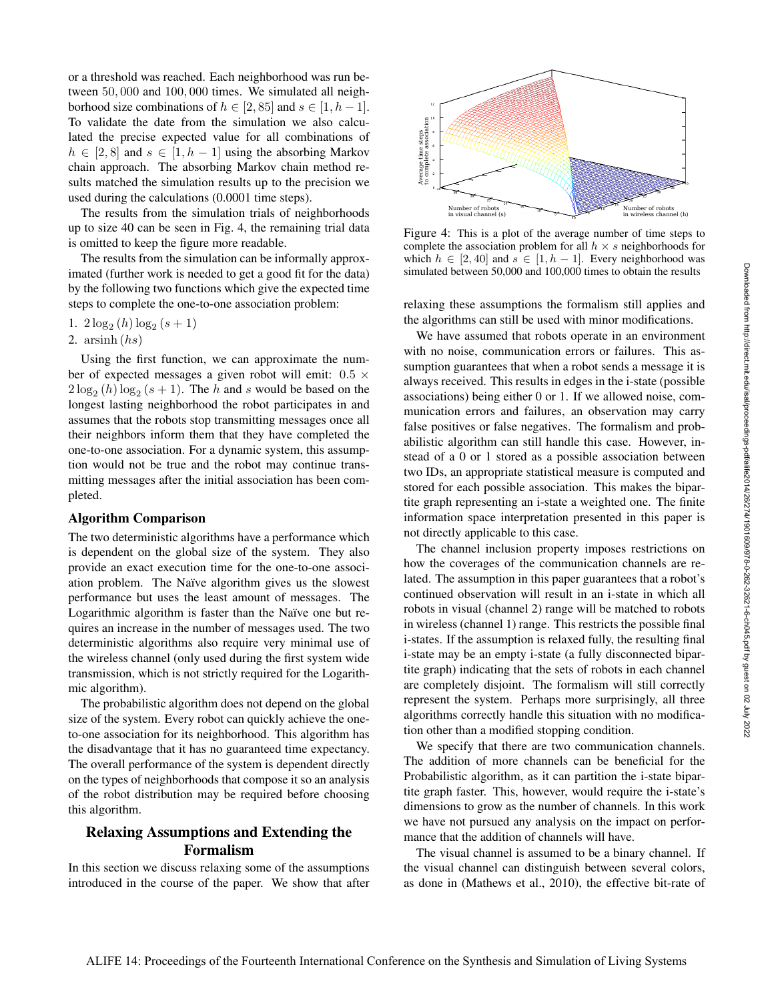or a threshold was reached. Each neighborhood was run between 50, 000 and 100, 000 times. We simulated all neighborhood size combinations of  $h \in [2, 85]$  and  $s \in [1, h-1]$ . To validate the date from the simulation we also calculated the precise expected value for all combinations of  $h \in [2, 8]$  and  $s \in [1, h - 1]$  using the absorbing Markov chain approach. The absorbing Markov chain method results matched the simulation results up to the precision we used during the calculations (0.0001 time steps).

The results from the simulation trials of neighborhoods up to size 40 can be seen in Fig. 4, the remaining trial data is omitted to keep the figure more readable.

The results from the simulation can be informally approximated (further work is needed to get a good fit for the data) by the following two functions which give the expected time steps to complete the one-to-one association problem:

1.  $2\log_2(h)\log_2(s+1)$ 

2.  $arsinh (hs)$ 

Using the first function, we can approximate the number of expected messages a given robot will emit:  $0.5 \times$  $2\log_2(h)\log_2(s+1)$ . The h and s would be based on the longest lasting neighborhood the robot participates in and assumes that the robots stop transmitting messages once all their neighbors inform them that they have completed the one-to-one association. For a dynamic system, this assumption would not be true and the robot may continue transmitting messages after the initial association has been completed.

#### Algorithm Comparison

The two deterministic algorithms have a performance which is dependent on the global size of the system. They also provide an exact execution time for the one-to-one association problem. The Naïve algorithm gives us the slowest performance but uses the least amount of messages. The Logarithmic algorithm is faster than the Naïve one but requires an increase in the number of messages used. The two deterministic algorithms also require very minimal use of the wireless channel (only used during the first system wide transmission, which is not strictly required for the Logarithmic algorithm).

The probabilistic algorithm does not depend on the global size of the system. Every robot can quickly achieve the oneto-one association for its neighborhood. This algorithm has the disadvantage that it has no guaranteed time expectancy. The overall performance of the system is dependent directly on the types of neighborhoods that compose it so an analysis of the robot distribution may be required before choosing this algorithm.

# Relaxing Assumptions and Extending the Formalism

In this section we discuss relaxing some of the assumptions introduced in the course of the paper. We show that after



Figure 4: This is a plot of the average number of time steps to complete the association problem for all  $h \times s$  neighborhoods for which  $h \in [2, 40]$  and  $s \in [1, h - 1]$ . Every neighborhood was simulated between 50,000 and 100,000 times to obtain the results

relaxing these assumptions the formalism still applies and the algorithms can still be used with minor modifications.

We have assumed that robots operate in an environment with no noise, communication errors or failures. This assumption guarantees that when a robot sends a message it is always received. This results in edges in the i-state (possible associations) being either 0 or 1. If we allowed noise, communication errors and failures, an observation may carry false positives or false negatives. The formalism and probabilistic algorithm can still handle this case. However, instead of a 0 or 1 stored as a possible association between two IDs, an appropriate statistical measure is computed and stored for each possible association. This makes the bipartite graph representing an i-state a weighted one. The finite information space interpretation presented in this paper is not directly applicable to this case.

The channel inclusion property imposes restrictions on how the coverages of the communication channels are related. The assumption in this paper guarantees that a robot's continued observation will result in an i-state in which all robots in visual (channel 2) range will be matched to robots in wireless (channel 1) range. This restricts the possible final i-states. If the assumption is relaxed fully, the resulting final i-state may be an empty i-state (a fully disconnected bipartite graph) indicating that the sets of robots in each channel are completely disjoint. The formalism will still correctly represent the system. Perhaps more surprisingly, all three algorithms correctly handle this situation with no modification other than a modified stopping condition.

We specify that there are two communication channels. The addition of more channels can be beneficial for the Probabilistic algorithm, as it can partition the i-state bipartite graph faster. This, however, would require the i-state's dimensions to grow as the number of channels. In this work we have not pursued any analysis on the impact on performance that the addition of channels will have.

The visual channel is assumed to be a binary channel. If the visual channel can distinguish between several colors, as done in (Mathews et al., 2010), the effective bit-rate of